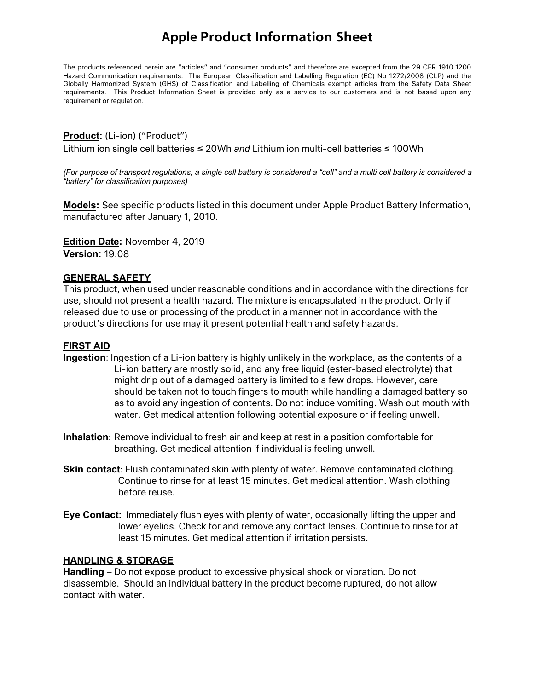The products referenced herein are "articles" and "consumer products" and therefore are excepted from the 29 CFR 1910.1200 Hazard Communication requirements. The European Classification and Labelling Regulation (EC) No 1272/2008 (CLP) and the Globally Harmonized System (GHS) of Classification and Labelling of Chemicals exempt articles from the Safety Data Sheet requirements. This Product Information Sheet is provided only as a service to our customers and is not based upon any requirement or regulation.

#### **Product:** (Li-ion) ("Product")

Lithium ion single cell batteries ≤ 20Wh *and* Lithium ion multi-cell batteries ≤ 100Wh

*(For purpose of transport regulations, a single cell battery is considered a "cell" and a multi cell battery is considered a "battery" for classification purposes)* 

**Models:** See specific products listed in this document under Apple Product Battery Information, manufactured after January 1, 2010.

**Edition Date:** November 4, 2019 **Version:** 19.08

#### **GENERAL SAFETY**

This product, when used under reasonable conditions and in accordance with the directions for use, should not present a health hazard. The mixture is encapsulated in the product. Only if released due to use or processing of the product in a manner not in accordance with the product's directions for use may it present potential health and safety hazards.

#### **FIRST AID**

- **Ingestion**: Ingestion of a Li-ion battery is highly unlikely in the workplace, as the contents of a Li-ion battery are mostly solid, and any free liquid (ester-based electrolyte) that might drip out of a damaged battery is limited to a few drops. However, care should be taken not to touch fingers to mouth while handling a damaged battery so as to avoid any ingestion of contents. Do not induce vomiting. Wash out mouth with water. Get medical attention following potential exposure or if feeling unwell.
- **Inhalation**: Remove individual to fresh air and keep at rest in a position comfortable for breathing. Get medical attention if individual is feeling unwell.
- **Skin contact**: Flush contaminated skin with plenty of water. Remove contaminated clothing. Continue to rinse for at least 15 minutes. Get medical attention. Wash clothing before reuse.
- **Eye Contact:** Immediately flush eyes with plenty of water, occasionally lifting the upper and lower eyelids. Check for and remove any contact lenses. Continue to rinse for at least 15 minutes. Get medical attention if irritation persists.

#### **HANDLING & STORAGE**

**Handling** – Do not expose product to excessive physical shock or vibration. Do not disassemble. Should an individual battery in the product become ruptured, do not allow contact with water.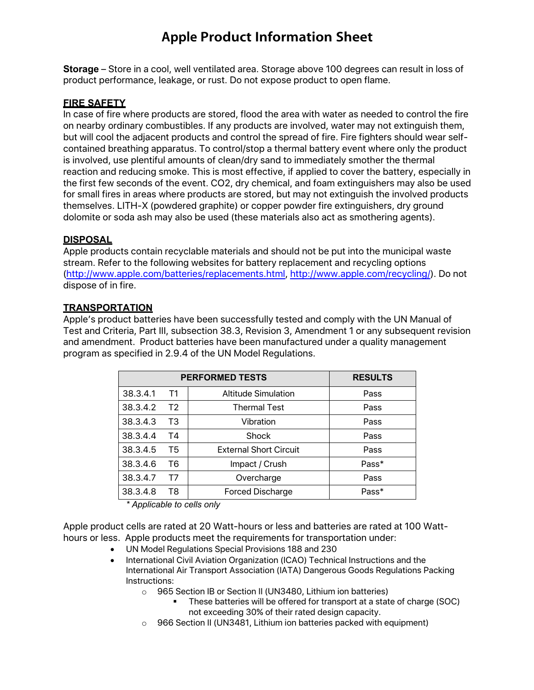**Storage** – Store in a cool, well ventilated area. Storage above 100 degrees can result in loss of product performance, leakage, or rust. Do not expose product to open flame.

#### **FIRE SAFETY**

In case of fire where products are stored, flood the area with water as needed to control the fire on nearby ordinary combustibles. If any products are involved, water may not extinguish them, but will cool the adjacent products and control the spread of fire. Fire fighters should wear selfcontained breathing apparatus. To control/stop a thermal battery event where only the product is involved, use plentiful amounts of clean/dry sand to immediately smother the thermal reaction and reducing smoke. This is most effective, if applied to cover the battery, especially in the first few seconds of the event. CO2, dry chemical, and foam extinguishers may also be used for small fires in areas where products are stored, but may not extinguish the involved products themselves. LITH-X (powdered graphite) or copper powder fire extinguishers, dry ground dolomite or soda ash may also be used (these materials also act as smothering agents).

#### **DISPOSAL**

Apple products contain recyclable materials and should not be put into the municipal waste stream. Refer to the following websites for battery replacement and recycling options (http://www.apple.com/batteries/replacements.html, http://www.apple.com/recycling/). Do not dispose of in fire.

#### **TRANSPORTATION**

Apple's product batteries have been successfully tested and comply with the UN Manual of Test and Criteria, Part III, subsection 38.3, Revision 3, Amendment 1 or any subsequent revision and amendment. Product batteries have been manufactured under a quality management program as specified in 2.9.4 of the UN Model Regulations.

|          | <b>PERFORMED TESTS</b> | <b>RESULTS</b>                |       |
|----------|------------------------|-------------------------------|-------|
| 38.3.4.1 | T1                     | <b>Altitude Simulation</b>    | Pass  |
| 38.3.4.2 | T2                     | <b>Thermal Test</b>           | Pass  |
| 38.3.4.3 | T3                     | Vibration                     | Pass  |
| 38.3.4.4 | T4                     | Shock                         | Pass  |
| 38.3.4.5 | T5                     | <b>External Short Circuit</b> | Pass  |
| 38.3.4.6 | T6                     | Impact / Crush                | Pass* |
| 38.3.4.7 | т7                     | Overcharge                    | Pass  |
| 38.3.4.8 | T8                     | <b>Forced Discharge</b>       | Pass* |

*\* Applicable to cells only*

Apple product cells are rated at 20 Watt-hours or less and batteries are rated at 100 Watthours or less. Apple products meet the requirements for transportation under:

- UN Model Regulations Special Provisions 188 and 230
- International Civil Aviation Organization (ICAO) Technical Instructions and the International Air Transport Association (IATA) Dangerous Goods Regulations Packing Instructions:
	- o 965 Section IB or Section II (UN3480, Lithium ion batteries)
		- § These batteries will be offered for transport at a state of charge (SOC) not exceeding 30% of their rated design capacity.
	- o 966 Section II (UN3481, Lithium ion batteries packed with equipment)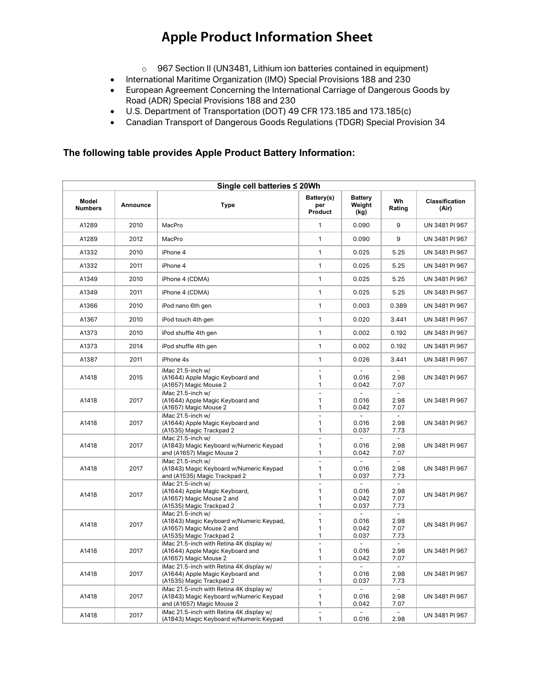- o 967 Section II (UN3481, Lithium ion batteries contained in equipment)
- International Maritime Organization (IMO) Special Provisions 188 and 230
- European Agreement Concerning the International Carriage of Dangerous Goods by Road (ADR) Special Provisions 188 and 230
- U.S. Department of Transportation (DOT) 49 CFR 173.185 and 173.185(c)
- Canadian Transport of Dangerous Goods Regulations (TDGR) Special Provision 34

#### **The following table provides Apple Product Battery Information:**

| Single cell batteries ≤ 20Wh |          |                                                                                                                        |                                         |                                  |                                  |                         |  |
|------------------------------|----------|------------------------------------------------------------------------------------------------------------------------|-----------------------------------------|----------------------------------|----------------------------------|-------------------------|--|
| Model<br><b>Numbers</b>      | Announce | <b>Type</b>                                                                                                            | Battery(s)<br>per<br>Product            | <b>Battery</b><br>Weight<br>(kg) | Wh<br>Rating                     | Classification<br>(Air) |  |
| A1289                        | 2010     | MacPro                                                                                                                 | 1                                       | 0.090                            | 9                                | UN 3481 PI 967          |  |
| A1289                        | 2012     | MacPro                                                                                                                 | $\mathbf{1}$                            | 0.090                            | 9                                | UN 3481 PI 967          |  |
| A1332                        | 2010     | iPhone 4                                                                                                               | $\mathbf{1}$                            | 0.025                            | 5.25                             | UN 3481 PI 967          |  |
| A1332                        | 2011     | iPhone 4                                                                                                               | $\mathbf{1}$                            | 0.025                            | 5.25                             | UN 3481 PI 967          |  |
| A1349                        | 2010     | iPhone 4 (CDMA)                                                                                                        | 1                                       | 0.025                            | 5.25                             | UN 3481 PI 967          |  |
| A1349                        | 2011     | iPhone 4 (CDMA)                                                                                                        | 1                                       | 0.025                            | 5.25                             | UN 3481 PI 967          |  |
| A1366                        | 2010     | iPod nano 6th gen                                                                                                      | 1                                       | 0.003                            | 0.389                            | UN 3481 PI 967          |  |
| A1367                        | 2010     | iPod touch 4th gen                                                                                                     | $\mathbf{1}$                            | 0.020                            | 3.441                            | UN 3481 PI 967          |  |
| A1373                        | 2010     | iPod shuffle 4th gen                                                                                                   | $\mathbf{1}$                            | 0.002                            | 0.192                            | UN 3481 PI 967          |  |
| A1373                        | 2014     | iPod shuffle 4th gen                                                                                                   | 1                                       | 0.002                            | 0.192                            | UN 3481 PI 967          |  |
| A1387                        | 2011     | iPhone 4s                                                                                                              | 1                                       | 0.026                            | 3.441                            | UN 3481 PI 967          |  |
| A1418                        | 2015     | iMac 21.5-inch w/<br>(A1644) Apple Magic Keyboard and<br>(A1657) Magic Mouse 2                                         | $\overline{\phantom{a}}$<br>1<br>1      | 0.016<br>0.042                   | 2.98<br>7.07                     | UN 3481 PI 967          |  |
| A1418                        | 2017     | iMac 21.5-inch w/<br>(A1644) Apple Magic Keyboard and<br>(A1657) Magic Mouse 2                                         | $\blacksquare$<br>1<br>1                | 0.016<br>0.042                   | $\sim$<br>2.98<br>7.07           | UN 3481 PI 967          |  |
| A1418                        | 2017     | iMac 21.5-inch w/<br>(A1644) Apple Magic Keyboard and<br>(A1535) Magic Trackpad 2                                      | $\blacksquare$<br>1<br>1                | 0.016<br>0.037                   | 2.98<br>7.73                     | UN 3481 PI 967          |  |
| A1418                        | 2017     | iMac 21.5-inch w/<br>(A1843) Magic Keyboard w/Numeric Keypad<br>and (A1657) Magic Mouse 2                              | 1<br>1                                  | 0.016<br>0.042                   | 2.98<br>7.07                     | UN 3481 PI 967          |  |
| A1418                        | 2017     | iMac 21.5-inch w/<br>(A1843) Magic Keyboard w/Numeric Keypad<br>and (A1535) Magic Trackpad 2                           | $\overline{a}$<br>$\mathbf{1}$<br>1     | 0.016<br>0.037                   | $\equiv$<br>2.98<br>7.73         | UN 3481 PI 967          |  |
| A1418                        | 2017     | iMac 21.5-inch w/<br>(A1644) Apple Magic Keyboard,<br>(A1657) Magic Mouse 2 and<br>(A1535) Magic Trackpad 2            | $\overline{\phantom{a}}$<br>1<br>1<br>1 | 0.016<br>0.042<br>0.037          | $\sim$<br>2.98<br>7.07<br>7.73   | UN 3481 PI 967          |  |
| A1418                        | 2017     | iMac 21.5-inch w/<br>(A1843) Magic Keyboard w/Numeric Keypad,<br>(A1657) Magic Mouse 2 and<br>(A1535) Magic Trackpad 2 | $\overline{\phantom{a}}$<br>1<br>1<br>1 | 0.016<br>0.042<br>0.037          | $\equiv$<br>2.98<br>7.07<br>7.73 | UN 3481 PI 967          |  |
| A1418                        | 2017     | iMac 21.5-inch with Retina 4K display w/<br>(A1644) Apple Magic Keyboard and<br>(A1657) Magic Mouse 2                  | $\overline{\phantom{a}}$<br>1<br>1      | 0.016<br>0.042                   | $\equiv$<br>2.98<br>7.07         | UN 3481 PI 967          |  |
| A1418                        | 2017     | iMac 21.5-inch with Retina 4K display w/<br>(A1644) Apple Magic Keyboard and<br>(A1535) Magic Trackpad 2               | $\blacksquare$<br>1<br>1                | 0.016<br>0.037                   | $\sim$<br>2.98<br>7.73           | UN 3481 PI 967          |  |
| A1418                        | 2017     | iMac 21.5-inch with Retina 4K display w/<br>(A1843) Magic Keyboard w/Numeric Keypad<br>and (A1657) Magic Mouse 2       | $\overline{a}$<br>1<br>1                | 0.016<br>0.042                   | $\sim$<br>2.98<br>7.07           | UN 3481 PI 967          |  |
| A1418                        | 2017     | iMac 21.5-inch with Retina 4K display w/<br>(A1843) Magic Keyboard w/Numeric Keypad                                    | ÷,<br>1                                 | ÷.<br>0.016                      | $\blacksquare$<br>2.98           | UN 3481 PI 967          |  |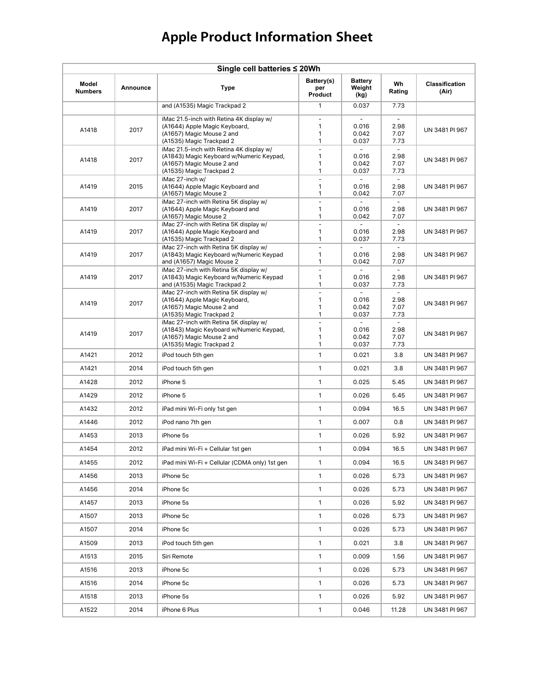| Single cell batteries ≤ 20Wh |          |                                                                                                                                               |                                    |                                           |                                        |                                |  |  |
|------------------------------|----------|-----------------------------------------------------------------------------------------------------------------------------------------------|------------------------------------|-------------------------------------------|----------------------------------------|--------------------------------|--|--|
| Model<br><b>Numbers</b>      | Announce | <b>Type</b>                                                                                                                                   | Battery(s)<br>per<br>Product       | <b>Battery</b><br>Weight<br>(kg)          | Wh<br>Rating                           | <b>Classification</b><br>(Air) |  |  |
|                              |          | and (A1535) Magic Trackpad 2                                                                                                                  | 1                                  | 0.037                                     | 7.73                                   |                                |  |  |
| A1418                        | 2017     | iMac 21.5-inch with Retina 4K display w/<br>(A1644) Apple Magic Keyboard,<br>(A1657) Magic Mouse 2 and<br>(A1535) Magic Trackpad 2            | $\sim$<br>1<br>1<br>1              | ÷<br>0.016<br>0.042<br>0.037              | $\blacksquare$<br>2.98<br>7.07<br>7.73 | UN 3481 PI 967                 |  |  |
| A1418                        | 2017     | iMac 21.5-inch with Retina 4K display w/<br>(A1843) Magic Keyboard w/Numeric Keypad,<br>(A1657) Magic Mouse 2 and<br>(A1535) Magic Trackpad 2 | $\bar{\phantom{a}}$<br>1<br>1<br>1 | 0.016<br>0.042<br>0.037                   | 2.98<br>7.07<br>7.73                   | UN 3481 PI 967                 |  |  |
| A1419                        | 2015     | iMac 27-inch w/<br>(A1644) Apple Magic Keyboard and<br>(A1657) Magic Mouse 2                                                                  | $\bar{\phantom{a}}$<br>1<br>1      | $\equiv$<br>0.016<br>0.042                | $\equiv$<br>2.98<br>7.07               | UN 3481 PI 967                 |  |  |
| A1419                        | 2017     | iMac 27-inch with Retina 5K display w/<br>(A1644) Apple Magic Keyboard and<br>(A1657) Magic Mouse 2                                           | $\overline{a}$<br>1<br>1           | 0.016<br>0.042                            | $\overline{a}$<br>2.98<br>7.07         | UN 3481 PI 967                 |  |  |
| A1419                        | 2017     | iMac 27-inch with Retina 5K display w/<br>(A1644) Apple Magic Keyboard and<br>(A1535) Magic Trackpad 2                                        | $\overline{a}$<br>1<br>1           | 0.016<br>0.037                            | 2.98<br>7.73                           | UN 3481 PI 967                 |  |  |
| A1419                        | 2017     | iMac 27-inch with Retina 5K display w/<br>(A1843) Magic Keyboard w/Numeric Keypad<br>and (A1657) Magic Mouse 2                                | $\bar{\phantom{a}}$<br>1<br>1      | $\mathbf{r}$<br>0.016<br>0.042            | $\sim$<br>2.98<br>7.07                 | UN 3481 PI 967                 |  |  |
| A1419                        | 2017     | iMac 27-inch with Retina 5K display w/<br>(A1843) Magic Keyboard w/Numeric Keypad<br>and (A1535) Magic Trackpad 2                             | $\bar{a}$<br>1<br>1                | 0.016<br>0.037                            | 2.98<br>7.73                           | UN 3481 PI 967                 |  |  |
| A1419                        | 2017     | iMac 27-inch with Retina 5K display w/<br>(A1644) Apple Magic Keyboard,<br>(A1657) Magic Mouse 2 and<br>(A1535) Magic Trackpad 2              | $\frac{1}{2}$<br>1<br>1<br>1       | 0.016<br>0.042<br>0.037                   | $\sim$<br>2.98<br>7.07<br>7.73         | UN 3481 PI 967                 |  |  |
| A1419                        | 2017     | iMac 27-inch with Retina 5K display w/<br>(A1843) Magic Keyboard w/Numeric Keypad,<br>(A1657) Magic Mouse 2 and<br>(A1535) Magic Trackpad 2   | $\blacksquare$<br>1<br>1<br>1      | $\blacksquare$<br>0.016<br>0.042<br>0.037 | $\sim$<br>2.98<br>7.07<br>7.73         | UN 3481 PI 967                 |  |  |
| A1421                        | 2012     | iPod touch 5th gen                                                                                                                            | 1                                  | 0.021                                     | 3.8                                    | UN 3481 PI 967                 |  |  |
| A1421                        | 2014     | iPod touch 5th gen                                                                                                                            | $\mathbf{1}$                       | 0.021                                     | 3.8                                    | UN 3481 PI 967                 |  |  |
| A1428                        | 2012     | iPhone 5                                                                                                                                      | $\mathbf{1}$                       | 0.025                                     | 5.45                                   | UN 3481 PI 967                 |  |  |
| A1429                        | 2012     | iPhone 5                                                                                                                                      | 1                                  | 0.026                                     | 5.45                                   | UN 3481 PI 967                 |  |  |
| A1432                        | 2012     | iPad mini Wi-Fi only 1st gen                                                                                                                  | 1                                  | 0.094                                     | 16.5                                   | UN 3481 PI 967                 |  |  |
| A1446                        | 2012     | iPod nano 7th gen                                                                                                                             | $\mathbf{1}$                       | 0.007                                     | 0.8                                    | UN 3481 PI 967                 |  |  |
| A1453                        | 2013     | iPhone 5s                                                                                                                                     | $\mathbf{1}$                       | 0.026                                     | 5.92                                   | UN 3481 PI 967                 |  |  |
| A1454                        | 2012     | iPad mini Wi-Fi + Cellular 1st gen                                                                                                            | 1                                  | 0.094                                     | 16.5                                   | UN 3481 PI 967                 |  |  |
| A1455                        | 2012     | iPad mini Wi-Fi + Cellular (CDMA only) 1st gen                                                                                                | 1                                  | 0.094                                     | 16.5                                   | UN 3481 PI 967                 |  |  |
| A1456                        | 2013     | iPhone 5c                                                                                                                                     | $\mathbf{1}$                       | 0.026                                     | 5.73                                   | UN 3481 PI 967                 |  |  |
| A1456                        | 2014     | iPhone 5c                                                                                                                                     | $\mathbf{1}$                       | 0.026                                     | 5.73                                   | UN 3481 PI 967                 |  |  |
| A1457                        | 2013     | iPhone 5s                                                                                                                                     | $\mathbf{1}$                       | 0.026                                     | 5.92                                   | UN 3481 PI 967                 |  |  |
| A1507                        | 2013     | iPhone 5c                                                                                                                                     | $\mathbf{1}$                       | 0.026                                     | 5.73                                   | UN 3481 PI 967                 |  |  |
| A1507                        | 2014     | iPhone 5c                                                                                                                                     | $\mathbf{1}$                       | 0.026                                     | 5.73                                   | UN 3481 PI 967                 |  |  |
| A1509                        | 2013     | iPod touch 5th gen                                                                                                                            | 1                                  | 0.021                                     | 3.8                                    | UN 3481 PI 967                 |  |  |
| A1513                        | 2015     | Siri Remote                                                                                                                                   | 1                                  | 0.009                                     | 1.56                                   | UN 3481 PI 967                 |  |  |
| A1516                        | 2013     | iPhone 5c                                                                                                                                     | $\mathbf{1}$                       | 0.026                                     | 5.73                                   | UN 3481 PI 967                 |  |  |
| A1516                        | 2014     | iPhone 5c                                                                                                                                     | $\mathbf{1}$                       | 0.026                                     | 5.73                                   | UN 3481 PI 967                 |  |  |
| A1518                        | 2013     | iPhone 5s                                                                                                                                     | 1                                  | 0.026                                     | 5.92                                   | UN 3481 PI 967                 |  |  |
| A1522                        | 2014     | iPhone 6 Plus                                                                                                                                 | 1                                  | 0.046                                     | 11.28                                  | UN 3481 PI 967                 |  |  |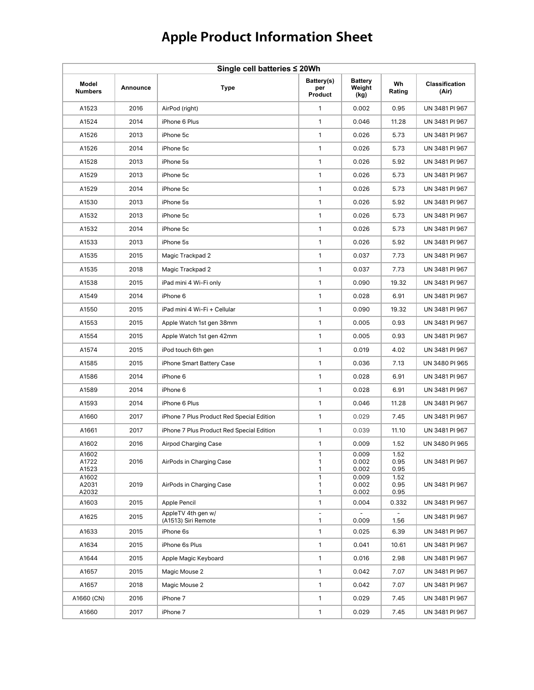| Single cell batteries ≤ 20Wh |          |                                           |                                   |                                  |                      |                                |  |
|------------------------------|----------|-------------------------------------------|-----------------------------------|----------------------------------|----------------------|--------------------------------|--|
| Model<br><b>Numbers</b>      | Announce | <b>Type</b>                               | Battery(s)<br>per<br>Product      | <b>Battery</b><br>Weight<br>(kg) | Wh<br>Rating         | <b>Classification</b><br>(Air) |  |
| A1523                        | 2016     | AirPod (right)                            | $\mathbf{1}$                      | 0.002                            | 0.95                 | UN 3481 PI 967                 |  |
| A1524                        | 2014     | iPhone 6 Plus                             | $\mathbf{1}$                      | 0.046                            | 11.28                | UN 3481 PI 967                 |  |
| A1526                        | 2013     | iPhone 5c                                 | 1                                 | 0.026                            | 5.73                 | UN 3481 PI 967                 |  |
| A1526                        | 2014     | iPhone 5c                                 | $\mathbf{1}$                      | 0.026                            | 5.73                 | UN 3481 PI 967                 |  |
| A1528                        | 2013     | iPhone 5s                                 | $\mathbf{1}$                      | 0.026                            | 5.92                 | UN 3481 PI 967                 |  |
| A1529                        | 2013     | iPhone 5c                                 | $\mathbf{1}$                      | 0.026                            | 5.73                 | UN 3481 PI 967                 |  |
| A1529                        | 2014     | iPhone 5c                                 | 1                                 | 0.026                            | 5.73                 | UN 3481 PI 967                 |  |
| A1530                        | 2013     | iPhone 5s                                 | 1                                 | 0.026                            | 5.92                 | UN 3481 PI 967                 |  |
| A1532                        | 2013     | iPhone 5c                                 | $\mathbf{1}$                      | 0.026                            | 5.73                 | UN 3481 PI 967                 |  |
| A1532                        | 2014     | iPhone 5c                                 | 1                                 | 0.026                            | 5.73                 | UN 3481 PI 967                 |  |
| A1533                        | 2013     | iPhone 5s                                 | 1                                 | 0.026                            | 5.92                 | UN 3481 PI 967                 |  |
| A1535                        | 2015     | Magic Trackpad 2                          | 1                                 | 0.037                            | 7.73                 | UN 3481 PI 967                 |  |
| A1535                        | 2018     | Magic Trackpad 2                          | $\mathbf{1}$                      | 0.037                            | 7.73                 | UN 3481 PI 967                 |  |
| A1538                        | 2015     | iPad mini 4 Wi-Fi only                    | 1                                 | 0.090                            | 19.32                | UN 3481 PI 967                 |  |
| A1549                        | 2014     | iPhone 6                                  | 1                                 | 0.028                            | 6.91                 | UN 3481 PI 967                 |  |
| A1550                        | 2015     | iPad mini 4 Wi-Fi + Cellular              | $\mathbf{1}$                      | 0.090                            | 19.32                | UN 3481 PI 967                 |  |
| A1553                        | 2015     | Apple Watch 1st gen 38mm                  | 1                                 | 0.005                            | 0.93                 | UN 3481 PI 967                 |  |
| A1554                        | 2015     | Apple Watch 1st gen 42mm                  | $\mathbf{1}$                      | 0.005                            | 0.93                 | UN 3481 PI 967                 |  |
| A1574                        | 2015     | iPod touch 6th gen                        | 1                                 | 0.019                            | 4.02                 | UN 3481 PI 967                 |  |
| A1585                        | 2015     | iPhone Smart Battery Case                 | $\mathbf{1}$                      | 0.036                            | 7.13                 | UN 3480 PI 965                 |  |
| A1586                        | 2014     | iPhone 6                                  | 1                                 | 0.028                            | 6.91                 | UN 3481 PI 967                 |  |
| A1589                        | 2014     | iPhone 6                                  | 1                                 | 0.028                            | 6.91                 | UN 3481 PI 967                 |  |
| A1593                        | 2014     | iPhone 6 Plus                             | $\mathbf{1}$                      | 0.046                            | 11.28                | UN 3481 PI 967                 |  |
| A1660                        | 2017     | iPhone 7 Plus Product Red Special Edition | 1                                 | 0.029                            | 7.45                 | UN 3481 PI 967                 |  |
| A1661                        | 2017     | iPhone 7 Plus Product Red Special Edition | $\mathbf{1}$                      | 0.039                            | 11.10                | UN 3481 PI 967                 |  |
| A1602                        | 2016     | Airpod Charging Case                      | 1                                 | 0.009                            | 1.52                 | UN 3480 PI 965                 |  |
| A1602<br>A1722<br>A1523      | 2016     | AirPods in Charging Case                  | 1<br>1<br>1                       | 0.009<br>0.002<br>0.002          | 1.52<br>0.95<br>0.95 | UN 3481 PI 967                 |  |
| A1602<br>A2031<br>A2032      | 2019     | AirPods in Charging Case                  | $\mathbf{1}$<br>1<br>1            | 0.009<br>0.002<br>0.002          | 1.52<br>0.95<br>0.95 | UN 3481 PI 967                 |  |
| A1603                        | 2015     | Apple Pencil                              | 1                                 | 0.004                            | 0.332                | UN 3481 PI 967                 |  |
| A1625                        | 2015     | AppleTV 4th gen w/<br>(A1513) Siri Remote | $\qquad \qquad \blacksquare$<br>1 | 0.009                            | 1.56                 | UN 3481 PI 967                 |  |
| A1633                        | 2015     | iPhone 6s                                 | $\mathbf{1}$                      | 0.025                            | 6.39                 | UN 3481 PI 967                 |  |
| A1634                        | 2015     | iPhone 6s Plus                            | 1                                 | 0.041                            | 10.61                | UN 3481 PI 967                 |  |
| A1644                        | 2015     | Apple Magic Keyboard                      | $\mathbf{1}$                      | 0.016                            | 2.98                 | UN 3481 PI 967                 |  |
| A1657                        | 2015     | Magic Mouse 2                             | $\mathbf{1}$                      | 0.042                            | 7.07                 | UN 3481 PI 967                 |  |
| A1657                        | 2018     | Magic Mouse 2                             | 1                                 | 0.042                            | 7.07                 | UN 3481 PI 967                 |  |
| A1660 (CN)                   | 2016     | iPhone 7                                  | $\mathbf{1}$                      | 0.029                            | 7.45                 | UN 3481 PI 967                 |  |
| A1660                        | 2017     | iPhone 7                                  | 1                                 | 0.029                            | 7.45                 | UN 3481 PI 967                 |  |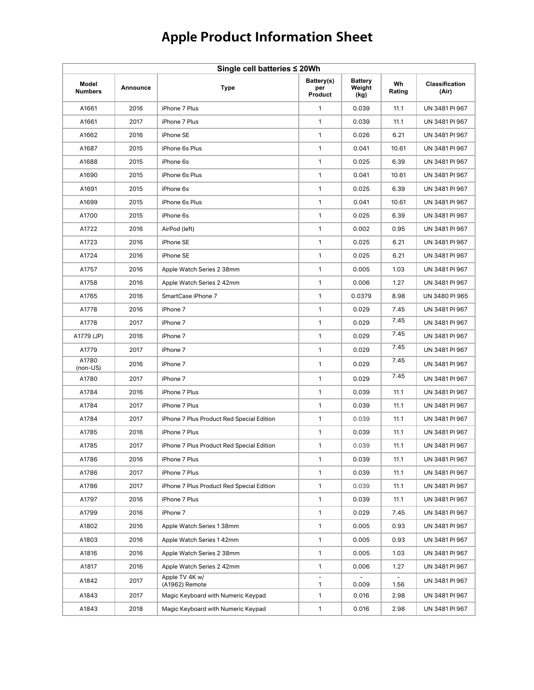| Single cell batteries ≤ 20Wh |          |                                           |                              |                                  |              |                                |  |
|------------------------------|----------|-------------------------------------------|------------------------------|----------------------------------|--------------|--------------------------------|--|
| Model<br><b>Numbers</b>      | Announce | <b>Type</b>                               | Battery(s)<br>per<br>Product | <b>Battery</b><br>Weight<br>(kg) | Wh<br>Rating | <b>Classification</b><br>(Air) |  |
| A1661                        | 2016     | iPhone 7 Plus                             | $\mathbf{1}$                 | 0.039                            | 11.1         | UN 3481 PI 967                 |  |
| A1661                        | 2017     | iPhone 7 Plus                             | $\mathbf{1}$                 | 0.039                            | 11.1         | UN 3481 PI 967                 |  |
| A1662                        | 2016     | iPhone SE                                 | 1                            | 0.026                            | 6.21         | UN 3481 PI 967                 |  |
| A1687                        | 2015     | iPhone 6s Plus                            | $\mathbf{1}$                 | 0.041                            | 10.61        | UN 3481 PI 967                 |  |
| A1688                        | 2015     | iPhone 6s                                 | 1                            | 0.025                            | 6.39         | UN 3481 PI 967                 |  |
| A1690                        | 2015     | iPhone 6s Plus                            | 1                            | 0.041                            | 10.61        | UN 3481 PI 967                 |  |
| A1691                        | 2015     | iPhone 6s                                 | 1                            | 0.025                            | 6.39         | UN 3481 PI 967                 |  |
| A1699                        | 2015     | iPhone 6s Plus                            | 1                            | 0.041                            | 10.61        | UN 3481 PI 967                 |  |
| A1700                        | 2015     | iPhone 6s                                 | $\mathbf{1}$                 | 0.025                            | 6.39         | UN 3481 PI 967                 |  |
| A1722                        | 2016     | AirPod (left)                             | 1                            | 0.002                            | 0.95         | UN 3481 PI 967                 |  |
| A1723                        | 2016     | iPhone SE                                 | $\mathbf{1}$                 | 0.025                            | 6.21         | UN 3481 PI 967                 |  |
| A1724                        | 2016     | iPhone SE                                 | 1                            | 0.025                            | 6.21         | UN 3481 PI 967                 |  |
| A1757                        | 2016     | Apple Watch Series 2 38mm                 | 1                            | 0.005                            | 1.03         | UN 3481 PI 967                 |  |
| A1758                        | 2016     | Apple Watch Series 2 42mm                 | 1                            | 0.006                            | 1.27         | UN 3481 PI 967                 |  |
| A1765                        | 2016     | SmartCase iPhone 7                        | 1                            | 0.0379                           | 8.98         | UN 3480 PI 965                 |  |
| A1778                        | 2016     | iPhone 7                                  | $\mathbf{1}$                 | 0.029                            | 7.45         | UN 3481 PI 967                 |  |
| A1778                        | 2017     | iPhone 7                                  | 1                            | 0.029                            | 7.45         | UN 3481 PI 967                 |  |
| A1779 (JP)                   | 2016     | iPhone 7                                  | $\mathbf{1}$                 | 0.029                            | 7.45         | UN 3481 PI 967                 |  |
| A1779                        | 2017     | iPhone 7                                  | 1                            | 0.029                            | 7.45         | UN 3481 PI 967                 |  |
| A1780<br>$(non-US)$          | 2016     | iPhone 7                                  | 1                            | 0.029                            | 7.45         | UN 3481 PI 967                 |  |
| A1780                        | 2017     | iPhone 7                                  | $\mathbf{1}$                 | 0.029                            | 7.45         | UN 3481 PI 967                 |  |
| A1784                        | 2016     | iPhone 7 Plus                             | 1                            | 0.039                            | 11.1         | UN 3481 PI 967                 |  |
| A1784                        | 2017     | iPhone 7 Plus                             | 1                            | 0.039                            | 11.1         | UN 3481 PI 967                 |  |
| A1784                        | 2017     | iPhone 7 Plus Product Red Special Edition | $\mathbf{1}$                 | 0.039                            | 11.1         | UN 3481 PI 967                 |  |
| A1785                        | 2016     | iPhone 7 Plus                             | 1                            | 0.039                            | 11.1         | UN 3481 PI 967                 |  |
| A1785                        | 2017     | iPhone 7 Plus Product Red Special Edition | 1                            | 0.039                            | 11.1         | UN 3481 PI 967                 |  |
| A1786                        | 2016     | iPhone 7 Plus                             | $\mathbf{1}$                 | 0.039                            | 11.1         | UN 3481 PI 967                 |  |
| A1786                        | 2017     | iPhone 7 Plus                             | $\mathbf{1}$                 | 0.039                            | 11.1         | UN 3481 PI 967                 |  |
| A1786                        | 2017     | iPhone 7 Plus Product Red Special Edition | 1                            | 0.039                            | 11.1         | UN 3481 PI 967                 |  |
| A1797                        | 2016     | iPhone 7 Plus                             | $\mathbf{1}$                 | 0.039                            | 11.1         | UN 3481 PI 967                 |  |
| A1799                        | 2016     | iPhone 7                                  | $\mathbf{1}$                 | 0.029                            | 7.45         | UN 3481 PI 967                 |  |
| A1802                        | 2016     | Apple Watch Series 1 38mm                 | $\mathbf{1}$                 | 0.005                            | 0.93         | UN 3481 PI 967                 |  |
| A1803                        | 2016     | Apple Watch Series 1 42mm                 | $\mathbf{1}$                 | 0.005                            | 0.93         | UN 3481 PI 967                 |  |
| A1816                        | 2016     | Apple Watch Series 2 38mm                 | $\mathbf{1}$                 | 0.005                            | 1.03         | UN 3481 PI 967                 |  |
| A1817                        | 2016     | Apple Watch Series 2 42mm                 | $\mathbf{1}$                 | 0.006                            | 1.27         | UN 3481 PI 967                 |  |
| A1842                        | 2017     | Apple TV 4K w/<br>(A1962) Remote          | $\mathbf{1}$                 | 0.009                            | 1.56         | UN 3481 PI 967                 |  |
| A1843                        | 2017     | Magic Keyboard with Numeric Keypad        | $\mathbf{1}$                 | 0.016                            | 2.98         | UN 3481 PI 967                 |  |
| A1843                        | 2018     | Magic Keyboard with Numeric Keypad        | $\mathbf{1}$                 | 0.016                            | 2.98         | UN 3481 PI 967                 |  |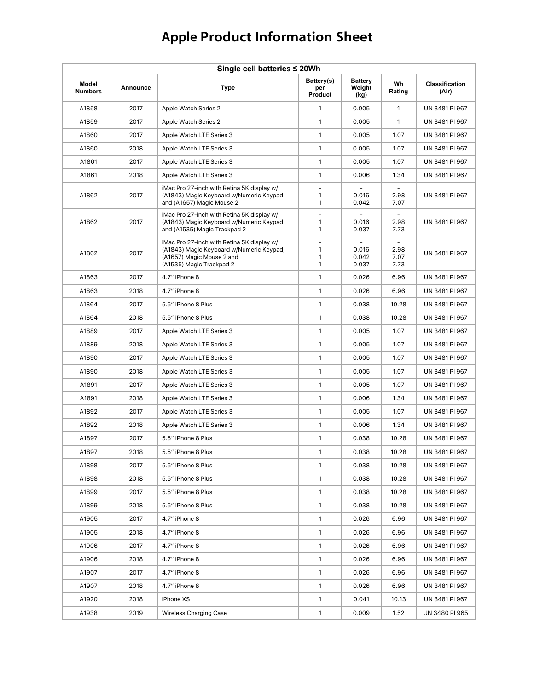| Single cell batteries ≤ 20Wh |          |                                                                                                                                                 |                               |                                  |                      |                                |  |  |
|------------------------------|----------|-------------------------------------------------------------------------------------------------------------------------------------------------|-------------------------------|----------------------------------|----------------------|--------------------------------|--|--|
| Model<br><b>Numbers</b>      | Announce | <b>Type</b>                                                                                                                                     | Battery(s)<br>per<br>Product  | <b>Battery</b><br>Weight<br>(kg) | Wh<br>Rating         | <b>Classification</b><br>(Air) |  |  |
| A1858                        | 2017     | Apple Watch Series 2                                                                                                                            | $\mathbf{1}$                  | 0.005                            | $\mathbf{1}$         | UN 3481 PI 967                 |  |  |
| A1859                        | 2017     | Apple Watch Series 2                                                                                                                            | 1                             | 0.005                            | $\mathbf{1}$         | UN 3481 PI 967                 |  |  |
| A1860                        | 2017     | Apple Watch LTE Series 3                                                                                                                        | 1                             | 0.005                            | 1.07                 | UN 3481 PI 967                 |  |  |
| A1860                        | 2018     | Apple Watch LTE Series 3                                                                                                                        | 1                             | 0.005                            | 1.07                 | UN 3481 PI 967                 |  |  |
| A1861                        | 2017     | Apple Watch LTE Series 3                                                                                                                        | 1                             | 0.005                            | 1.07                 | UN 3481 PI 967                 |  |  |
| A1861                        | 2018     | Apple Watch LTE Series 3                                                                                                                        | 1                             | 0.006                            | 1.34                 | UN 3481 PI 967                 |  |  |
| A1862                        | 2017     | iMac Pro 27-inch with Retina 5K display w/<br>(A1843) Magic Keyboard w/Numeric Keypad<br>and (A1657) Magic Mouse 2                              | $\bar{a}$<br>1<br>1           | 0.016<br>0.042                   | 2.98<br>7.07         | UN 3481 PI 967                 |  |  |
| A1862                        | 2017     | iMac Pro 27-inch with Retina 5K display w/<br>(A1843) Magic Keyboard w/Numeric Keypad<br>and (A1535) Magic Trackpad 2                           | ÷,<br>1<br>1                  | 0.016<br>0.037                   | 2.98<br>7.73         | UN 3481 PI 967                 |  |  |
| A1862                        | 2017     | iMac Pro 27-inch with Retina 5K display w/<br>(A1843) Magic Keyboard w/Numeric Keypad,<br>(A1657) Magic Mouse 2 and<br>(A1535) Magic Trackpad 2 | $\overline{a}$<br>1<br>1<br>1 | 0.016<br>0.042<br>0.037          | 2.98<br>7.07<br>7.73 | UN 3481 PI 967                 |  |  |
| A1863                        | 2017     | 4.7" iPhone 8                                                                                                                                   | $\mathbf{1}$                  | 0.026                            | 6.96                 | UN 3481 PI 967                 |  |  |
| A1863                        | 2018     | 4.7" iPhone 8                                                                                                                                   | 1                             | 0.026                            | 6.96                 | UN 3481 PI 967                 |  |  |
| A1864                        | 2017     | 5.5" iPhone 8 Plus                                                                                                                              | 1                             | 0.038                            | 10.28                | UN 3481 PI 967                 |  |  |
| A1864                        | 2018     | 5.5" iPhone 8 Plus                                                                                                                              | 1                             | 0.038                            | 10.28                | UN 3481 PI 967                 |  |  |
| A1889                        | 2017     | Apple Watch LTE Series 3                                                                                                                        | 1                             | 0.005                            | 1.07                 | UN 3481 PI 967                 |  |  |
| A1889                        | 2018     | Apple Watch LTE Series 3                                                                                                                        | 1                             | 0.005                            | 1.07                 | UN 3481 PI 967                 |  |  |
| A1890                        | 2017     | Apple Watch LTE Series 3                                                                                                                        | 1                             | 0.005                            | 1.07                 | UN 3481 PI 967                 |  |  |
| A1890                        | 2018     | Apple Watch LTE Series 3                                                                                                                        | 1                             | 0.005                            | 1.07                 | UN 3481 PI 967                 |  |  |
| A1891                        | 2017     | Apple Watch LTE Series 3                                                                                                                        | 1                             | 0.005                            | 1.07                 | UN 3481 PI 967                 |  |  |
| A1891                        | 2018     | Apple Watch LTE Series 3                                                                                                                        | 1                             | 0.006                            | 1.34                 | UN 3481 PI 967                 |  |  |
| A1892                        | 2017     | Apple Watch LTE Series 3                                                                                                                        | 1                             | 0.005                            | 1.07                 | UN 3481 PI 967                 |  |  |
| A1892                        | 2018     | Apple Watch LTE Series 3                                                                                                                        | 1                             | 0.006                            | 1.34                 | UN 3481 PI 967                 |  |  |
| A1897                        | 2017     | 5.5" iPhone 8 Plus                                                                                                                              | 1                             | 0.038                            | 10.28                | UN 3481 PI 967                 |  |  |
| A1897                        | 2018     | 5.5" iPhone 8 Plus                                                                                                                              | 1                             | 0.038                            | 10.28                | UN 3481 PI 967                 |  |  |
| A1898                        | 2017     | 5.5" iPhone 8 Plus                                                                                                                              | $\mathbf{1}$                  | 0.038                            | 10.28                | UN 3481 PI 967                 |  |  |
| A1898                        | 2018     | 5.5" iPhone 8 Plus                                                                                                                              | $\mathbf{1}$                  | 0.038                            | 10.28                | UN 3481 PI 967                 |  |  |
| A1899                        | 2017     | 5.5" iPhone 8 Plus                                                                                                                              | $\mathbf{1}$                  | 0.038                            | 10.28                | UN 3481 PI 967                 |  |  |
| A1899                        | 2018     | 5.5" iPhone 8 Plus                                                                                                                              | $\mathbf{1}$                  | 0.038                            | 10.28                | UN 3481 PI 967                 |  |  |
| A1905                        | 2017     | 4.7" iPhone 8                                                                                                                                   | $\mathbf{1}$                  | 0.026                            | 6.96                 | UN 3481 PI 967                 |  |  |
| A1905                        | 2018     | 4.7" iPhone 8                                                                                                                                   | $\mathbf{1}$                  | 0.026                            | 6.96                 | UN 3481 PI 967                 |  |  |
| A1906                        | 2017     | 4.7" iPhone 8                                                                                                                                   | $\mathbf{1}$                  | 0.026                            | 6.96                 | UN 3481 PI 967                 |  |  |
| A1906                        | 2018     | 4.7" iPhone 8                                                                                                                                   | $\mathbf{1}$                  | 0.026                            | 6.96                 | UN 3481 PI 967                 |  |  |
| A1907                        | 2017     | 4.7" iPhone 8                                                                                                                                   | $\mathbf{1}$                  | 0.026                            | 6.96                 | UN 3481 PI 967                 |  |  |
| A1907                        | 2018     | 4.7" iPhone 8                                                                                                                                   | $\mathbf{1}$                  | 0.026                            | 6.96                 | UN 3481 PI 967                 |  |  |
| A1920                        | 2018     | iPhone XS                                                                                                                                       | $\mathbf{1}$                  | 0.041                            | 10.13                | UN 3481 PI 967                 |  |  |
| A1938                        | 2019     | <b>Wireless Charging Case</b>                                                                                                                   | $\mathbf{1}$                  | 0.009                            | 1.52                 | UN 3480 PI 965                 |  |  |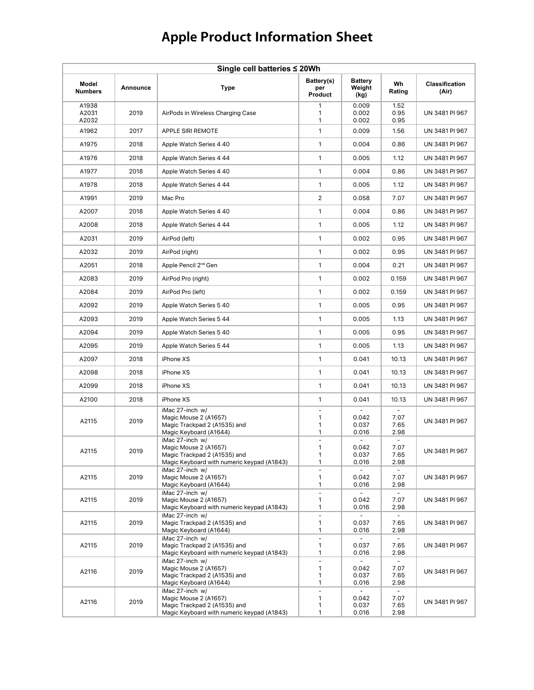| Single cell batteries ≤ 20Wh |          |                                                                                                                        |                                         |                                                     |                        |                                |  |  |
|------------------------------|----------|------------------------------------------------------------------------------------------------------------------------|-----------------------------------------|-----------------------------------------------------|------------------------|--------------------------------|--|--|
| Model<br><b>Numbers</b>      | Announce | <b>Type</b>                                                                                                            | Battery(s)<br>per<br>Product            | <b>Battery</b><br>Weight<br>(kg)                    | Wh<br>Rating           | <b>Classification</b><br>(Air) |  |  |
| A1938<br>A2031<br>A2032      | 2019     | AirPods in Wireless Charging Case                                                                                      | $\mathbf{1}$<br>1<br>1                  | 0.009<br>0.002<br>0.002                             | 1.52<br>0.95<br>0.95   | UN 3481 PI 967                 |  |  |
| A1962                        | 2017     | <b>APPLE SIRI REMOTE</b>                                                                                               | 1                                       | 0.009                                               | 1.56                   | UN 3481 PI 967                 |  |  |
| A1975                        | 2018     | Apple Watch Series 4 40                                                                                                | 1                                       | 0.004                                               | 0.86                   | UN 3481 PI 967                 |  |  |
| A1976                        | 2018     | Apple Watch Series 4 44                                                                                                | 1                                       | 0.005                                               | 1.12                   | UN 3481 PI 967                 |  |  |
| A1977                        | 2018     | Apple Watch Series 4 40                                                                                                | 1                                       | 0.004                                               | 0.86                   | UN 3481 PI 967                 |  |  |
| A1978                        | 2018     | Apple Watch Series 4 44                                                                                                | 1                                       | 0.005                                               | 1.12                   | UN 3481 PI 967                 |  |  |
| A1991                        | 2019     | Mac Pro                                                                                                                | 2                                       | 0.058                                               | 7.07                   | UN 3481 PI 967                 |  |  |
| A2007                        | 2018     | Apple Watch Series 4 40                                                                                                | $\mathbf{1}$                            | 0.004                                               | 0.86                   | UN 3481 PI 967                 |  |  |
| A2008                        | 2018     | Apple Watch Series 4 44                                                                                                | 1                                       | 0.005                                               | 1.12                   | UN 3481 PI 967                 |  |  |
| A2031                        | 2019     | AirPod (left)                                                                                                          | 1                                       | 0.002                                               | 0.95                   | UN 3481 PI 967                 |  |  |
| A2032                        | 2019     | AirPod (right)                                                                                                         | 1                                       | 0.002                                               | 0.95                   | UN 3481 PI 967                 |  |  |
| A2051                        | 2018     | Apple Pencil 2 <sup>nd</sup> Gen                                                                                       | 1                                       | 0.004                                               | 0.21                   | UN 3481 PI 967                 |  |  |
| A2083                        | 2019     | AirPod Pro (right)                                                                                                     | 1                                       | 0.002                                               | 0.159                  | UN 3481 PI 967                 |  |  |
| A2084                        | 2019     | AirPod Pro (left)                                                                                                      | 1                                       | 0.002                                               | 0.159                  | UN 3481 PI 967                 |  |  |
| A2092                        | 2019     | Apple Watch Series 5 40                                                                                                | $\mathbf{1}$                            | 0.005                                               | 0.95                   | UN 3481 PI 967                 |  |  |
| A2093                        | 2019     | Apple Watch Series 5 44                                                                                                | 1                                       | 0.005                                               | 1.13                   | UN 3481 PI 967                 |  |  |
| A2094                        | 2019     | Apple Watch Series 5 40                                                                                                | 1                                       | 0.005                                               | 0.95                   | UN 3481 PI 967                 |  |  |
| A2095                        | 2019     | Apple Watch Series 5 44                                                                                                | 1                                       | 0.005                                               | 1.13                   | UN 3481 PI 967                 |  |  |
| A2097                        | 2018     | iPhone XS                                                                                                              | 1                                       | 0.041                                               | 10.13                  | UN 3481 PI 967                 |  |  |
| A2098                        | 2018     | iPhone XS                                                                                                              | 1                                       | 0.041                                               | 10.13                  | UN 3481 PI 967                 |  |  |
| A2099                        | 2018     | iPhone XS                                                                                                              | 1                                       | 0.041                                               | 10.13                  | UN 3481 PI 967                 |  |  |
| A2100                        | 2018     | iPhone XS                                                                                                              | 1                                       | 0.041                                               | 10.13                  | UN 3481 PI 967                 |  |  |
| A2115                        | 2019     | iMac 27-inch w/<br>Magic Mouse 2 (A1657)<br>Magic Trackpad 2 (A1535) and<br>Magic Keyboard (A1644)                     | $\overline{\phantom{a}}$<br>1<br>1<br>1 | 0.042<br>0.037<br>0.016                             | 7.07<br>7.65<br>2.98   | UN 3481 PI 967                 |  |  |
| A2115                        | 2019     | iMac 27-inch w/<br>Magic Mouse 2 (A1657)<br>Magic Trackpad 2 (A1535) and<br>Magic Keyboard with numeric keypad (A1843) | $\frac{1}{2}$<br>1<br>1<br>1            | 0.042<br>0.037<br>0.016                             | 7.07<br>7.65<br>2.98   | UN 3481 PI 967                 |  |  |
| A2115                        | 2019     | iMac 27-inch w/<br>Magic Mouse 2 (A1657)<br>Magic Keyboard (A1644)                                                     | L,<br>1<br>1                            | 0.042<br>0.016                                      | 7.07<br>2.98           | UN 3481 PI 967                 |  |  |
| A2115                        | 2019     | iMac 27-inch w/<br>Magic Mouse 2 (A1657)<br>Magic Keyboard with numeric keypad (A1843)                                 | $\Box$<br>1<br>1                        | 0.042<br>0.016                                      | 7.07<br>2.98           | UN 3481 PI 967                 |  |  |
| A2115                        | 2019     | iMac 27-inch w/<br>Magic Trackpad 2 (A1535) and<br>Magic Keyboard (A1644)                                              | $\blacksquare$<br>1<br>1                | 0.037<br>0.016                                      | 7.65<br>2.98           | UN 3481 PI 967                 |  |  |
| A2115                        | 2019     | iMac 27-inch w/<br>Magic Trackpad 2 (A1535) and<br>Magic Keyboard with numeric keypad (A1843)                          | $\overline{\phantom{a}}$<br>1<br>1      | ÷.<br>0.037<br>0.016                                | $\sim$<br>7.65<br>2.98 | UN 3481 PI 967                 |  |  |
| A2116                        | 2019     | iMac 27-inch w/<br>Magic Mouse 2 (A1657)<br>Magic Trackpad 2 (A1535) and<br>Magic Keyboard (A1644)                     | $\Box$<br>1<br>1<br>1                   | $\overline{\phantom{0}}$<br>0.042<br>0.037<br>0.016 | 7.07<br>7.65<br>2.98   | UN 3481 PI 967                 |  |  |
| A2116                        | 2019     | iMac 27-inch w/<br>Magic Mouse 2 (A1657)<br>Magic Trackpad 2 (A1535) and<br>Magic Keyboard with numeric keypad (A1843) | $\blacksquare$<br>1<br>1<br>1           | $\overline{\phantom{0}}$<br>0.042<br>0.037<br>0.016 | 7.07<br>7.65<br>2.98   | UN 3481 PI 967                 |  |  |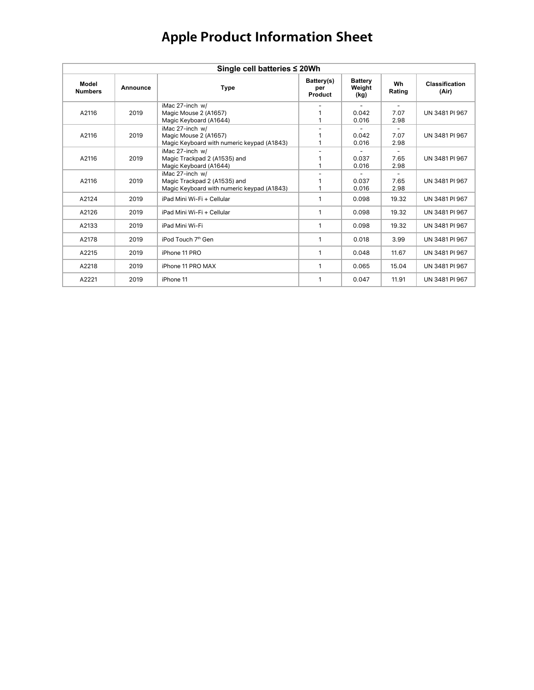| Single cell batteries ≤ 20Wh |          |                                                                                               |                              |                                  |                                          |                                |  |  |  |
|------------------------------|----------|-----------------------------------------------------------------------------------------------|------------------------------|----------------------------------|------------------------------------------|--------------------------------|--|--|--|
| Model<br><b>Numbers</b>      | Announce | Type                                                                                          | Battery(s)<br>per<br>Product | <b>Battery</b><br>Weight<br>(kg) | Wh<br>Rating                             | <b>Classification</b><br>(Air) |  |  |  |
| A2116                        | 2019     | iMac 27-inch w/<br>Magic Mouse 2 (A1657)<br>Magic Keyboard (A1644)                            | 1                            | 0.042<br>0.016                   | 7.07<br>2.98                             | UN 3481 PI 967                 |  |  |  |
| A2116                        | 2019     | iMac 27-inch w/<br>Magic Mouse 2 (A1657)<br>Magic Keyboard with numeric keypad (A1843)        |                              | 0.042<br>0.016                   | $\overline{\phantom{a}}$<br>7.07<br>2.98 | UN 3481 PI 967                 |  |  |  |
| A2116                        | 2019     | iMac 27-inch w/<br>Magic Trackpad 2 (A1535) and<br>Magic Keyboard (A1644)                     |                              | 0.037<br>0.016                   | 7.65<br>2.98                             | UN 3481 PI 967                 |  |  |  |
| A2116                        | 2019     | iMac 27-inch w/<br>Magic Trackpad 2 (A1535) and<br>Magic Keyboard with numeric keypad (A1843) | 1                            | 0.037<br>0.016                   | 7.65<br>2.98                             | UN 3481 PI 967                 |  |  |  |
| A2124                        | 2019     | iPad Mini Wi-Fi + Cellular                                                                    | 1                            | 0.098                            | 19.32                                    | UN 3481 PI 967                 |  |  |  |
| A2126                        | 2019     | iPad Mini Wi-Fi + Cellular                                                                    | $\mathbf{1}$                 | 0.098                            | 19.32                                    | UN 3481 PI 967                 |  |  |  |
| A2133                        | 2019     | iPad Mini Wi-Fi                                                                               | $\mathbf{1}$                 | 0.098                            | 19.32                                    | UN 3481 PI 967                 |  |  |  |
| A2178                        | 2019     | iPod Touch 7 <sup>th</sup> Gen                                                                | 1                            | 0.018                            | 3.99                                     | UN 3481 PI 967                 |  |  |  |
| A2215                        | 2019     | iPhone 11 PRO                                                                                 | 1                            | 0.048                            | 11.67                                    | UN 3481 PI 967                 |  |  |  |
| A2218                        | 2019     | iPhone 11 PRO MAX                                                                             | 1                            | 0.065                            | 15.04                                    | UN 3481 PI 967                 |  |  |  |
| A2221                        | 2019     | iPhone 11                                                                                     | 1                            | 0.047                            | 11.91                                    | UN 3481 PI 967                 |  |  |  |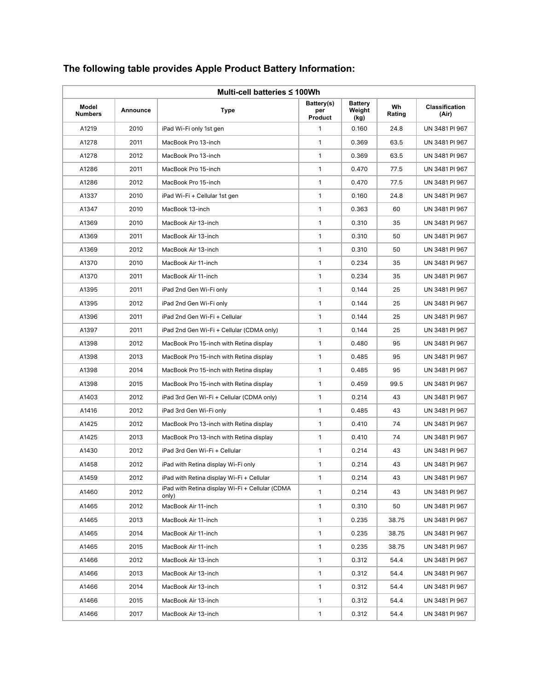| Multi-cell batteries ≤ 100Wh |          |                                                          |                              |                                  |              |                                |  |
|------------------------------|----------|----------------------------------------------------------|------------------------------|----------------------------------|--------------|--------------------------------|--|
| Model<br><b>Numbers</b>      | Announce | Type                                                     | Battery(s)<br>per<br>Product | <b>Battery</b><br>Weight<br>(kg) | Wh<br>Rating | <b>Classification</b><br>(Air) |  |
| A1219                        | 2010     | iPad Wi-Fi only 1st gen                                  | 1                            | 0.160                            | 24.8         | UN 3481 PI 967                 |  |
| A1278                        | 2011     | MacBook Pro 13-inch                                      | 1                            | 0.369                            | 63.5         | UN 3481 PI 967                 |  |
| A1278                        | 2012     | MacBook Pro 13-inch                                      | $\mathbf{1}$                 | 0.369                            | 63.5         | UN 3481 PI 967                 |  |
| A1286                        | 2011     | MacBook Pro 15-inch                                      | $\mathbf{1}$                 | 0.470                            | 77.5         | UN 3481 PI 967                 |  |
| A1286                        | 2012     | MacBook Pro 15-inch                                      | 1                            | 0.470                            | 77.5         | UN 3481 PI 967                 |  |
| A1337                        | 2010     | iPad Wi-Fi + Cellular 1st gen                            | 1                            | 0.160                            | 24.8         | UN 3481 PI 967                 |  |
| A1347                        | 2010     | MacBook 13-inch                                          | $\mathbf{1}$                 | 0.363                            | 60           | UN 3481 PI 967                 |  |
| A1369                        | 2010     | MacBook Air 13-inch                                      | 1                            | 0.310                            | 35           | UN 3481 PI 967                 |  |
| A1369                        | 2011     | MacBook Air 13-inch                                      | $\mathbf{1}$                 | 0.310                            | 50           | UN 3481 PI 967                 |  |
| A1369                        | 2012     | MacBook Air 13-inch                                      | $\mathbf{1}$                 | 0.310                            | 50           | UN 3481 PI 967                 |  |
| A1370                        | 2010     | MacBook Air 11-inch                                      | $\mathbf{1}$                 | 0.234                            | 35           | UN 3481 PI 967                 |  |
| A1370                        | 2011     | MacBook Air 11-inch                                      | $\mathbf{1}$                 | 0.234                            | 35           | UN 3481 PI 967                 |  |
| A1395                        | 2011     | iPad 2nd Gen Wi-Fi only                                  | $\mathbf{1}$                 | 0.144                            | 25           | UN 3481 PI 967                 |  |
| A1395                        | 2012     | iPad 2nd Gen Wi-Fi only                                  | $\mathbf{1}$                 | 0.144                            | 25           | UN 3481 PI 967                 |  |
| A1396                        | 2011     | iPad 2nd Gen Wi-Fi + Cellular                            | 1                            | 0.144                            | 25           | UN 3481 PI 967                 |  |
| A1397                        | 2011     | iPad 2nd Gen Wi-Fi + Cellular (CDMA only)                | 1                            | 0.144                            | 25           | UN 3481 PI 967                 |  |
| A1398                        | 2012     | MacBook Pro 15-inch with Retina display                  | $\mathbf{1}$                 | 0.480                            | 95           | UN 3481 PI 967                 |  |
| A1398                        | 2013     | MacBook Pro 15-inch with Retina display                  | $\mathbf{1}$                 | 0.485                            | 95           | UN 3481 PI 967                 |  |
| A1398                        | 2014     | MacBook Pro 15-inch with Retina display                  | 1                            | 0.485                            | 95           | UN 3481 PI 967                 |  |
| A1398                        | 2015     | MacBook Pro 15-inch with Retina display                  | $\mathbf{1}$                 | 0.459                            | 99.5         | UN 3481 PI 967                 |  |
| A1403                        | 2012     | iPad 3rd Gen Wi-Fi + Cellular (CDMA only)                | $\mathbf{1}$                 | 0.214                            | 43           | UN 3481 PI 967                 |  |
| A1416                        | 2012     | iPad 3rd Gen Wi-Fi only                                  | $\mathbf{1}$                 | 0.485                            | 43           | UN 3481 PI 967                 |  |
| A1425                        | 2012     | MacBook Pro 13-inch with Retina display                  | 1                            | 0.410                            | 74           | UN 3481 PI 967                 |  |
| A1425                        | 2013     | MacBook Pro 13-inch with Retina display                  | $\mathbf{1}$                 | 0.410                            | 74           | UN 3481 PI 967                 |  |
| A1430                        | 2012     | iPad 3rd Gen Wi-Fi + Cellular                            | $\mathbf{1}$                 | 0.214                            | 43           | UN 3481 PI 967                 |  |
| A1458                        | 2012     | iPad with Retina display Wi-Fi only                      | $\mathbf{1}$                 | 0.214                            | 43           | UN 3481 PI 967                 |  |
| A1459                        | 2012     | iPad with Retina display Wi-Fi + Cellular                | $\mathbf{1}$                 | 0.214                            | 43           | UN 3481 PI 967                 |  |
| A1460                        | 2012     | iPad with Retina display Wi-Fi + Cellular (CDMA<br>only) | $\mathbf{1}$                 | 0.214                            | 43           | UN 3481 PI 967                 |  |
| A1465                        | 2012     | MacBook Air 11-inch                                      | $\mathbf{1}$                 | 0.310                            | 50           | UN 3481 PI 967                 |  |
| A1465                        | 2013     | MacBook Air 11-inch                                      | $\mathbf{1}$                 | 0.235                            | 38.75        | UN 3481 PI 967                 |  |
| A1465                        | 2014     | MacBook Air 11-inch                                      | $\mathbf{1}$                 | 0.235                            | 38.75        | UN 3481 PI 967                 |  |
| A1465                        | 2015     | MacBook Air 11-inch                                      | $\mathbf{1}$                 | 0.235                            | 38.75        | UN 3481 PI 967                 |  |
| A1466                        | 2012     | MacBook Air 13-inch                                      | $\mathbf{1}$                 | 0.312                            | 54.4         | UN 3481 PI 967                 |  |
| A1466                        | 2013     | MacBook Air 13-inch                                      | $\mathbf{1}$                 | 0.312                            | 54.4         | UN 3481 PI 967                 |  |
| A1466                        | 2014     | MacBook Air 13-inch                                      | $\mathbf{1}$                 | 0.312                            | 54.4         | UN 3481 PI 967                 |  |
| A1466                        | 2015     | MacBook Air 13-inch                                      | $\mathbf{1}$                 | 0.312                            | 54.4         | UN 3481 PI 967                 |  |
| A1466                        | 2017     | MacBook Air 13-inch                                      | $\mathbf{1}$                 | 0.312                            | 54.4         | UN 3481 PI 967                 |  |

### **The following table provides Apple Product Battery Information:**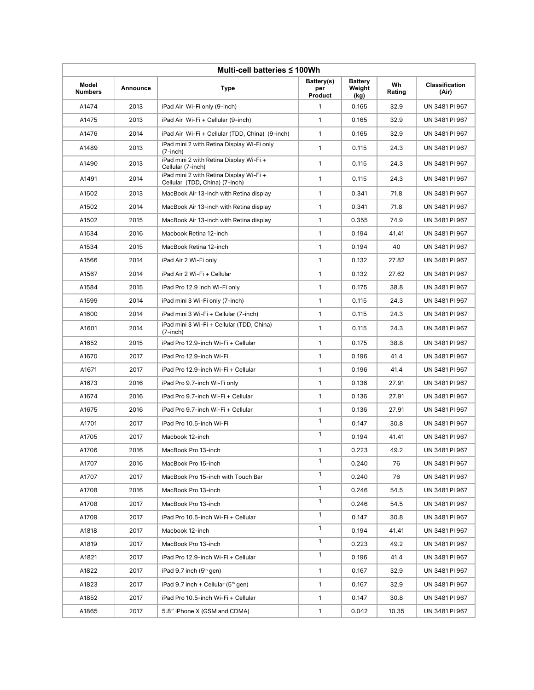| Multi-cell batteries ≤ 100Wh |          |                                                                           |                              |                                  |              |                                |  |  |
|------------------------------|----------|---------------------------------------------------------------------------|------------------------------|----------------------------------|--------------|--------------------------------|--|--|
| Model<br><b>Numbers</b>      | Announce | <b>Type</b>                                                               | Battery(s)<br>per<br>Product | <b>Battery</b><br>Weight<br>(kg) | Wh<br>Rating | <b>Classification</b><br>(Air) |  |  |
| A1474                        | 2013     | iPad Air Wi-Fi only (9-inch)                                              | $\mathbf{1}$                 | 0.165                            | 32.9         | UN 3481 PI 967                 |  |  |
| A1475                        | 2013     | iPad Air Wi-Fi + Cellular (9-inch)                                        | $\mathbf{1}$                 | 0.165                            | 32.9         | UN 3481 PI 967                 |  |  |
| A1476                        | 2014     | iPad Air Wi-Fi + Cellular (TDD, China) (9-inch)                           | 1                            | 0.165                            | 32.9         | UN 3481 PI 967                 |  |  |
| A1489                        | 2013     | iPad mini 2 with Retina Display Wi-Fi only<br>$(7$ -inch $)$              | $\mathbf{1}$                 | 0.115                            | 24.3         | UN 3481 PI 967                 |  |  |
| A1490                        | 2013     | iPad mini 2 with Retina Display Wi-Fi +<br>Cellular (7-inch)              | 1                            | 0.115                            | 24.3         | UN 3481 PI 967                 |  |  |
| A1491                        | 2014     | iPad mini 2 with Retina Display Wi-Fi +<br>Cellular (TDD, China) (7-inch) | $\mathbf{1}$                 | 0.115                            | 24.3         | UN 3481 PI 967                 |  |  |
| A1502                        | 2013     | MacBook Air 13-inch with Retina display                                   | $\mathbf{1}$                 | 0.341                            | 71.8         | UN 3481 PI 967                 |  |  |
| A1502                        | 2014     | MacBook Air 13-inch with Retina display                                   | 1                            | 0.341                            | 71.8         | UN 3481 PI 967                 |  |  |
| A1502                        | 2015     | MacBook Air 13-inch with Retina display                                   | $\mathbf{1}$                 | 0.355                            | 74.9         | UN 3481 PI 967                 |  |  |
| A1534                        | 2016     | Macbook Retina 12-inch                                                    | $\mathbf{1}$                 | 0.194                            | 41.41        | UN 3481 PI 967                 |  |  |
| A1534                        | 2015     | MacBook Retina 12-inch                                                    | $\mathbf{1}$                 | 0.194                            | 40           | UN 3481 PI 967                 |  |  |
| A1566                        | 2014     | iPad Air 2 Wi-Fi only                                                     | 1                            | 0.132                            | 27.82        | UN 3481 PI 967                 |  |  |
| A1567                        | 2014     | iPad Air 2 Wi-Fi + Cellular                                               | $\mathbf{1}$                 | 0.132                            | 27.62        | UN 3481 PI 967                 |  |  |
| A1584                        | 2015     | iPad Pro 12.9 inch Wi-Fi only                                             | $\mathbf{1}$                 | 0.175                            | 38.8         | UN 3481 PI 967                 |  |  |
| A1599                        | 2014     | iPad mini 3 Wi-Fi only (7-inch)                                           | 1                            | 0.115                            | 24.3         | UN 3481 PI 967                 |  |  |
| A1600                        | 2014     | iPad mini 3 Wi-Fi + Cellular (7-inch)                                     | $\mathbf{1}$                 | 0.115                            | 24.3         | UN 3481 PI 967                 |  |  |
| A1601                        | 2014     | iPad mini 3 Wi-Fi + Cellular (TDD, China)<br>$(7$ -inch $)$               | 1                            | 0.115                            | 24.3         | UN 3481 PI 967                 |  |  |
| A1652                        | 2015     | iPad Pro 12.9-inch Wi-Fi + Cellular                                       | 1                            | 0.175                            | 38.8         | UN 3481 PI 967                 |  |  |
| A1670                        | 2017     | iPad Pro 12.9-inch Wi-Fi                                                  | $\mathbf{1}$                 | 0.196                            | 41.4         | UN 3481 PI 967                 |  |  |
| A1671                        | 2017     | iPad Pro 12.9-inch Wi-Fi + Cellular                                       | 1                            | 0.196                            | 41.4         | UN 3481 PI 967                 |  |  |
| A1673                        | 2016     | iPad Pro 9.7-inch Wi-Fi only                                              | 1                            | 0.136                            | 27.91        | UN 3481 PI 967                 |  |  |
| A1674                        | 2016     | iPad Pro 9.7-inch Wi-Fi + Cellular                                        | 1                            | 0.136                            | 27.91        | UN 3481 PI 967                 |  |  |
| A1675                        | 2016     | iPad Pro 9.7-inch Wi-Fi + Cellular                                        | $\mathbf{1}$                 | 0.136                            | 27.91        | UN 3481 PI 967                 |  |  |
| A1701                        | 2017     | iPad Pro 10.5-inch Wi-Fi                                                  | $\mathbf{1}$                 | 0.147                            | 30.8         | UN 3481 PI 967                 |  |  |
| A1705                        | 2017     | Macbook 12-inch                                                           | 1                            | 0.194                            | 41.41        | UN 3481 PI 967                 |  |  |
| A1706                        | 2016     | MacBook Pro 13-inch                                                       | $\mathbf{1}$                 | 0.223                            | 49.2         | UN 3481 PI 967                 |  |  |
| A1707                        | 2016     | MacBook Pro 15-inch                                                       | $\mathbf{1}$                 | 0.240                            | 76           | UN 3481 PI 967                 |  |  |
| A1707                        | 2017     | MacBook Pro 15-inch with Touch Bar                                        | $\mathbf{1}$                 | 0.240                            | 76           | UN 3481 PI 967                 |  |  |
| A1708                        | 2016     | MacBook Pro 13-inch                                                       | $\mathbf{1}$                 | 0.246                            | 54.5         | UN 3481 PI 967                 |  |  |
| A1708                        | 2017     | MacBook Pro 13-inch                                                       | $\mathbf{1}$                 | 0.246                            | 54.5         | UN 3481 PI 967                 |  |  |
| A1709                        | 2017     | iPad Pro 10.5-inch Wi-Fi + Cellular                                       | $\mathbf{1}$                 | 0.147                            | 30.8         | UN 3481 PI 967                 |  |  |
| A1818                        | 2017     | Macbook 12-inch                                                           | $\mathbf{1}$                 | 0.194                            | 41.41        | UN 3481 PI 967                 |  |  |
| A1819                        | 2017     | MacBook Pro 13-inch                                                       | $\mathbf{1}$                 | 0.223                            | 49.2         | UN 3481 PI 967                 |  |  |
| A1821                        | 2017     | iPad Pro 12.9-inch Wi-Fi + Cellular                                       | $\mathbf{1}$                 | 0.196                            | 41.4         | UN 3481 PI 967                 |  |  |
| A1822                        | 2017     | iPad 9.7 inch (5th gen)                                                   | $\mathbf{1}$                 | 0.167                            | 32.9         | UN 3481 PI 967                 |  |  |
| A1823                        | 2017     | iPad 9.7 inch + Cellular ( $5th$ gen)                                     | $\mathbf{1}$                 | 0.167                            | 32.9         | UN 3481 PI 967                 |  |  |
| A1852                        | 2017     | iPad Pro 10.5-inch Wi-Fi + Cellular                                       | $\mathbf{1}$                 | 0.147                            | 30.8         | UN 3481 PI 967                 |  |  |
| A1865                        | 2017     | 5.8" iPhone X (GSM and CDMA)                                              | $\mathbf{1}$                 | 0.042                            | 10.35        | UN 3481 PI 967                 |  |  |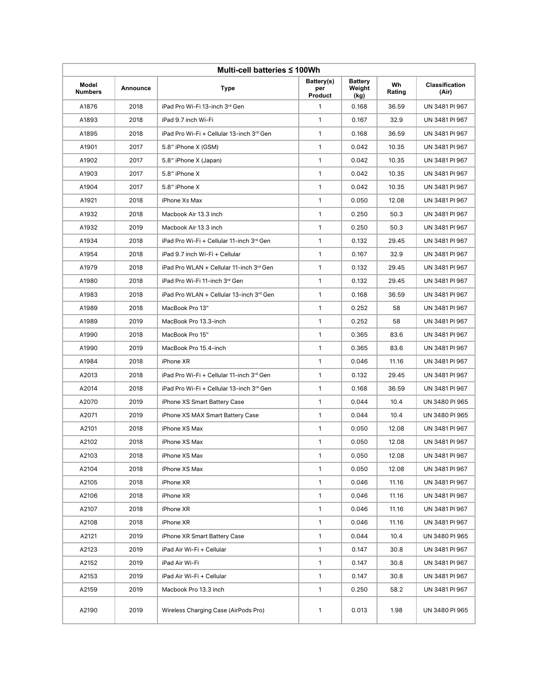| Multi-cell batteries ≤ 100Wh |          |                                                       |                              |                                  |              |                                |  |  |
|------------------------------|----------|-------------------------------------------------------|------------------------------|----------------------------------|--------------|--------------------------------|--|--|
| Model<br><b>Numbers</b>      | Announce | <b>Type</b>                                           | Battery(s)<br>per<br>Product | <b>Battery</b><br>Weight<br>(kg) | Wh<br>Rating | <b>Classification</b><br>(Air) |  |  |
| A1876                        | 2018     | iPad Pro Wi-Fi 13-inch 3rd Gen                        | $\mathbf{1}$                 | 0.168                            | 36.59        | UN 3481 PI 967                 |  |  |
| A1893                        | 2018     | iPad 9.7 inch Wi-Fi                                   | $\mathbf{1}$                 | 0.167                            | 32.9         | UN 3481 PI 967                 |  |  |
| A1895                        | 2018     | iPad Pro Wi-Fi + Cellular 13-inch 3rd Gen             | 1                            | 0.168                            | 36.59        | UN 3481 PI 967                 |  |  |
| A1901                        | 2017     | 5.8" iPhone X (GSM)                                   | $\mathbf{1}$                 | 0.042                            | 10.35        | UN 3481 PI 967                 |  |  |
| A1902                        | 2017     | 5.8" iPhone X (Japan)                                 | $\mathbf{1}$                 | 0.042                            | 10.35        | UN 3481 PI 967                 |  |  |
| A1903                        | 2017     | 5.8" iPhone X                                         | 1                            | 0.042                            | 10.35        | UN 3481 PI 967                 |  |  |
| A1904                        | 2017     | 5.8" iPhone X                                         | 1                            | 0.042                            | 10.35        | UN 3481 PI 967                 |  |  |
| A1921                        | 2018     | iPhone Xs Max                                         | $\mathbf{1}$                 | 0.050                            | 12.08        | UN 3481 PI 967                 |  |  |
| A1932                        | 2018     | Macbook Air 13.3 inch                                 | $\mathbf{1}$                 | 0.250                            | 50.3         | UN 3481 PI 967                 |  |  |
| A1932                        | 2019     | Macbook Air 13.3 inch                                 | 1                            | 0.250                            | 50.3         | UN 3481 PI 967                 |  |  |
| A1934                        | 2018     | iPad Pro Wi-Fi + Cellular 11-inch 3rd Gen             | $\mathbf{1}$                 | 0.132                            | 29.45        | UN 3481 PI 967                 |  |  |
| A1954                        | 2018     | iPad 9.7 inch Wi-Fi + Cellular                        | 1                            | 0.167                            | 32.9         | UN 3481 PI 967                 |  |  |
| A1979                        | 2018     | iPad Pro WLAN + Cellular 11-inch 3rd Gen              | $\mathbf{1}$                 | 0.132                            | 29.45        | UN 3481 PI 967                 |  |  |
| A1980                        | 2018     | iPad Pro Wi-Fi 11-inch 3rd Gen                        | 1                            | 0.132                            | 29.45        | UN 3481 PI 967                 |  |  |
| A1983                        | 2018     | iPad Pro WLAN + Cellular 13-inch 3rd Gen              | 1                            | 0.168                            | 36.59        | UN 3481 PI 967                 |  |  |
| A1989                        | 2018     | MacBook Pro 13"                                       | $\mathbf{1}$                 | 0.252                            | 58           | UN 3481 PI 967                 |  |  |
| A1989                        | 2019     | MacBook Pro 13.3-inch                                 | 1                            | 0.252                            | 58           | UN 3481 PI 967                 |  |  |
| A1990                        | 2018     | MacBook Pro 15"                                       | $\mathbf{1}$                 | 0.365                            | 83.6         | UN 3481 PI 967                 |  |  |
| A1990                        | 2019     | MacBook Pro 15.4-inch                                 | 1                            | 0.365                            | 83.6         | UN 3481 PI 967                 |  |  |
| A1984                        | 2018     | iPhone XR                                             | $\mathbf{1}$                 | 0.046                            | 11.16        | UN 3481 PI 967                 |  |  |
| A2013                        | 2018     | iPad Pro Wi-Fi + Cellular 11-inch 3 <sup>rd</sup> Gen | 1                            | 0.132                            | 29.45        | UN 3481 PI 967                 |  |  |
| A2014                        | 2018     | iPad Pro Wi-Fi + Cellular 13-inch 3rd Gen             | 1                            | 0.168                            | 36.59        | UN 3481 PI 967                 |  |  |
| A2070                        | 2019     | iPhone XS Smart Battery Case                          | $\mathbf{1}$                 | 0.044                            | 10.4         | UN 3480 PI 965                 |  |  |
| A2071                        | 2019     | iPhone XS MAX Smart Battery Case                      | $\mathbf{1}$                 | 0.044                            | 10.4         | UN 3480 PI 965                 |  |  |
| A2101                        | 2018     | iPhone XS Max                                         | $\mathbf{1}$                 | 0.050                            | 12.08        | UN 3481 PI 967                 |  |  |
| A2102                        | 2018     | iPhone XS Max                                         | 1                            | 0.050                            | 12.08        | UN 3481 PI 967                 |  |  |
| A2103                        | 2018     | iPhone XS Max                                         | $\mathbf{1}$                 | 0.050                            | 12.08        | UN 3481 PI 967                 |  |  |
| A2104                        | 2018     | iPhone XS Max                                         | $\mathbf{1}$                 | 0.050                            | 12.08        | UN 3481 PI 967                 |  |  |
| A2105                        | 2018     | iPhone XR                                             | 1                            | 0.046                            | 11.16        | UN 3481 PI 967                 |  |  |
| A2106                        | 2018     | iPhone XR                                             | 1                            | 0.046                            | 11.16        | UN 3481 PI 967                 |  |  |
| A2107                        | 2018     | iPhone XR                                             | $\mathbf{1}$                 | 0.046                            | 11.16        | UN 3481 PI 967                 |  |  |
| A2108                        | 2018     | iPhone XR                                             | $\mathbf{1}$                 | 0.046                            | 11.16        | UN 3481 PI 967                 |  |  |
| A2121                        | 2019     | iPhone XR Smart Battery Case                          | 1                            | 0.044                            | 10.4         | UN 3480 PI 965                 |  |  |
| A2123                        | 2019     | iPad Air Wi-Fi + Cellular                             | $\mathbf{1}$                 | 0.147                            | 30.8         | UN 3481 PI 967                 |  |  |
| A2152                        | 2019     | iPad Air Wi-Fi                                        | $\mathbf{1}$                 | 0.147                            | 30.8         | UN 3481 PI 967                 |  |  |
| A2153                        | 2019     | iPad Air Wi-Fi + Cellular                             | $\mathbf{1}$                 | 0.147                            | 30.8         | UN 3481 PI 967                 |  |  |
| A2159                        | 2019     | Macbook Pro 13.3 inch                                 | $\mathbf{1}$                 | 0.250                            | 58.2         | UN 3481 PI 967                 |  |  |
| A2190                        | 2019     | Wireless Charging Case (AirPods Pro)                  | 1                            | 0.013                            | 1.98         | UN 3480 PI 965                 |  |  |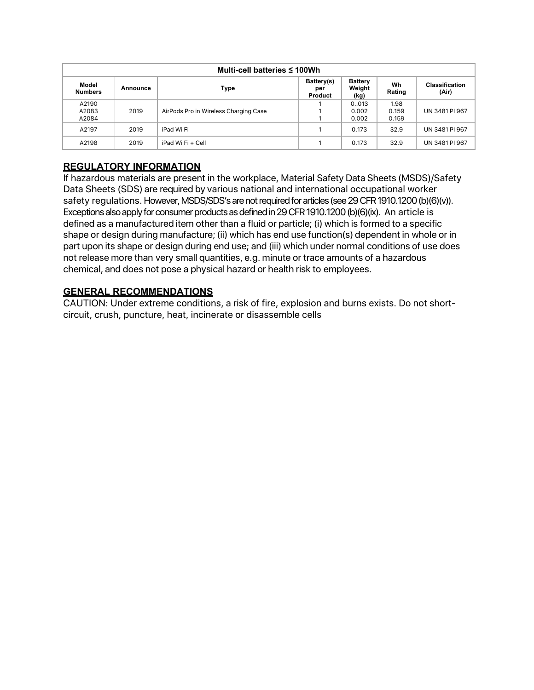| Multi-cell batteries $\leq 100$ Wh |          |                                       |                              |                                  |              |                                |
|------------------------------------|----------|---------------------------------------|------------------------------|----------------------------------|--------------|--------------------------------|
| Model<br><b>Numbers</b>            | Announce | Type                                  | Battery(s)<br>per<br>Product | <b>Battery</b><br>Weight<br>(kg) | Wh<br>Rating | <b>Classification</b><br>(Air) |
| A2190                              |          |                                       |                              | 0.013                            | 1.98         |                                |
| A2083                              | 2019     | AirPods Pro in Wireless Charging Case |                              | 0.002                            | 0.159        | UN 3481 PI 967                 |
| A2084                              |          |                                       |                              | 0.002                            | 0.159        |                                |
| A2197                              | 2019     | iPad Wi Fi                            |                              | 0.173                            | 32.9         | UN 3481 PI 967                 |
| A2198                              | 2019     | iPad Wi Fi + Cell                     |                              | 0.173                            | 32.9         | UN 3481 PI 967                 |

### **REGULATORY INFORMATION**

If hazardous materials are present in the workplace, Material Safety Data Sheets (MSDS)/Safety Data Sheets (SDS) are required by various national and international occupational worker safety regulations. However, MSDS/SDS's are not required for articles (see 29 CFR 1910.1200 (b)(6)(v)). Exceptions also apply for consumer products as defined in 29 CFR 1910.1200 (b)(6)(ix). An article is defined as a manufactured item other than a fluid or particle; (i) which is formed to a specific shape or design during manufacture; (ii) which has end use function(s) dependent in whole or in part upon its shape or design during end use; and (iii) which under normal conditions of use does not release more than very small quantities, e.g. minute or trace amounts of a hazardous chemical, and does not pose a physical hazard or health risk to employees.

#### **GENERAL RECOMMENDATIONS**

CAUTION: Under extreme conditions, a risk of fire, explosion and burns exists. Do not shortcircuit, crush, puncture, heat, incinerate or disassemble cells